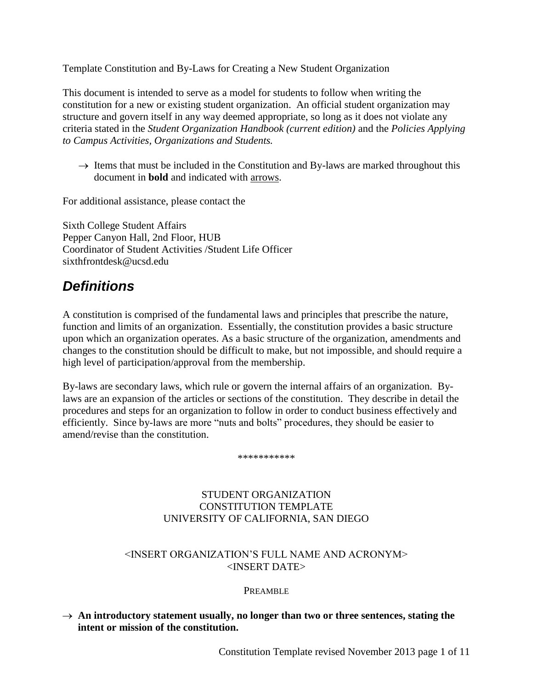Template Constitution and By-Laws for Creating a New Student Organization

This document is intended to serve as a model for students to follow when writing the constitution for a new or existing student organization. An official student organization may structure and govern itself in any way deemed appropriate, so long as it does not violate any criteria stated in the *Student Organization Handbook (current edition)* and the *Policies Applying to Campus Activities, Organizations and Students.*

 $\rightarrow$  Items that must be included in the Constitution and By-laws are marked throughout this document in **bold** and indicated with arrows.

For additional assistance, please contact the

Sixth College Student Affairs Pepper Canyon Hall, 2nd Floor, HUB Coordinator of Student Activities /Student Life Officer sixthfrontdesk@ucsd.edu

# *Definitions*

A constitution is comprised of the fundamental laws and principles that prescribe the nature, function and limits of an organization. Essentially, the constitution provides a basic structure upon which an organization operates. As a basic structure of the organization, amendments and changes to the constitution should be difficult to make, but not impossible, and should require a high level of participation/approval from the membership.

By-laws are secondary laws, which rule or govern the internal affairs of an organization. Bylaws are an expansion of the articles or sections of the constitution. They describe in detail the procedures and steps for an organization to follow in order to conduct business effectively and efficiently. Since by-laws are more "nuts and bolts" procedures, they should be easier to amend/revise than the constitution.

\*\*\*\*\*\*\*\*\*\*\*

# STUDENT ORGANIZATION CONSTITUTION TEMPLATE UNIVERSITY OF CALIFORNIA, SAN DIEGO

# <INSERT ORGANIZATION'S FULL NAME AND ACRONYM> <INSERT DATE>

#### PREAMBLE

#### $\rightarrow$  An introductory statement usually, no longer than two or three sentences, stating the **intent or mission of the constitution.**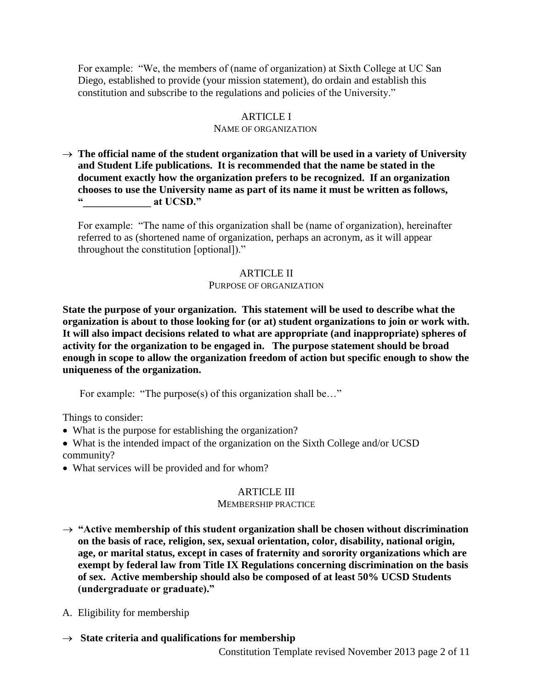For example: "We, the members of (name of organization) at Sixth College at UC San Diego, established to provide (your mission statement), do ordain and establish this constitution and subscribe to the regulations and policies of the University."

## ARTICLE I

#### NAME OF ORGANIZATION

 $\rightarrow$  The official name of the student organization that will be used in a variety of University **and Student Life publications. It is recommended that the name be stated in the document exactly how the organization prefers to be recognized. If an organization chooses to use the University name as part of its name it must be written as follows, "\_\_\_\_\_\_\_\_\_\_\_\_\_ at UCSD."**

For example: "The name of this organization shall be (name of organization), hereinafter referred to as (shortened name of organization, perhaps an acronym, as it will appear throughout the constitution [optional])."

#### ARTICLE II

#### PURPOSE OF ORGANIZATION

**State the purpose of your organization. This statement will be used to describe what the organization is about to those looking for (or at) student organizations to join or work with. It will also impact decisions related to what are appropriate (and inappropriate) spheres of activity for the organization to be engaged in. The purpose statement should be broad enough in scope to allow the organization freedom of action but specific enough to show the uniqueness of the organization.**

For example: "The purpose(s) of this organization shall be..."

Things to consider:

- What is the purpose for establishing the organization?
- What is the intended impact of the organization on the Sixth College and/or UCSD community?
- What services will be provided and for whom?

#### ARTICLE III

#### MEMBERSHIP PRACTICE

- $\rightarrow$  "Active membership of this student organization shall be chosen without discrimination **on the basis of race, religion, sex, sexual orientation, color, disability, national origin, age, or marital status, except in cases of fraternity and sorority organizations which are exempt by federal law from Title IX Regulations concerning discrimination on the basis of sex. Active membership should also be composed of at least 50% UCSD Students (undergraduate or graduate)."**
- A. Eligibility for membership
- $\rightarrow$  State criteria and qualifications for membership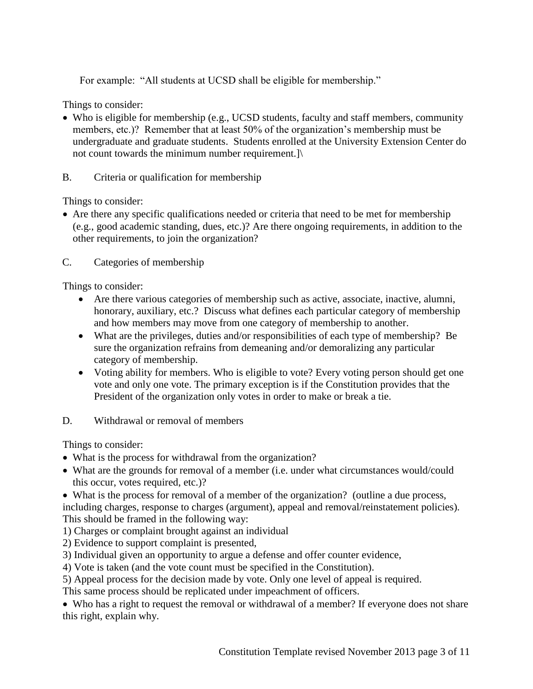For example: "All students at UCSD shall be eligible for membership."

Things to consider:

- Who is eligible for membership (e.g., UCSD students, faculty and staff members, community members, etc.)? Remember that at least 50% of the organization's membership must be undergraduate and graduate students. Students enrolled at the University Extension Center do not count towards the minimum number requirement.]\
- B. Criteria or qualification for membership

Things to consider:

 Are there any specific qualifications needed or criteria that need to be met for membership (e.g., good academic standing, dues, etc.)? Are there ongoing requirements, in addition to the other requirements, to join the organization?

C. Categories of membership

Things to consider:

- Are there various categories of membership such as active, associate, inactive, alumni, honorary, auxiliary, etc.? Discuss what defines each particular category of membership and how members may move from one category of membership to another.
- What are the privileges, duties and/or responsibilities of each type of membership? Be sure the organization refrains from demeaning and/or demoralizing any particular category of membership.
- Voting ability for members. Who is eligible to vote? Every voting person should get one vote and only one vote. The primary exception is if the Constitution provides that the President of the organization only votes in order to make or break a tie.
- D. Withdrawal or removal of members

Things to consider:

- What is the process for withdrawal from the organization?
- What are the grounds for removal of a member (i.e. under what circumstances would/could this occur, votes required, etc.)?

 What is the process for removal of a member of the organization? (outline a due process, including charges, response to charges (argument), appeal and removal/reinstatement policies). This should be framed in the following way:

- 1) Charges or complaint brought against an individual
- 2) Evidence to support complaint is presented,
- 3) Individual given an opportunity to argue a defense and offer counter evidence,
- 4) Vote is taken (and the vote count must be specified in the Constitution).

5) Appeal process for the decision made by vote. Only one level of appeal is required.

This same process should be replicated under impeachment of officers.

 Who has a right to request the removal or withdrawal of a member? If everyone does not share this right, explain why.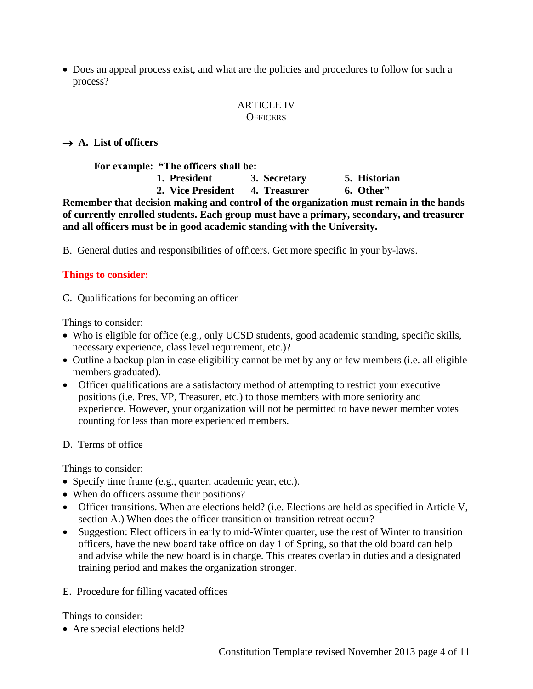Does an appeal process exist, and what are the policies and procedures to follow for such a process?

#### ARTICLE IV **OFFICERS**

# $\rightarrow$  A. List of officers

**For example: "The officers shall be:**

**1. President 3. Secretary 5. Historian 2. Vice President 4. Treasurer 6. Other"**

**Remember that decision making and control of the organization must remain in the hands of currently enrolled students. Each group must have a primary, secondary, and treasurer and all officers must be in good academic standing with the University.** 

B. General duties and responsibilities of officers. Get more specific in your by-laws.

# **Things to consider:**

C. Qualifications for becoming an officer

Things to consider:

- Who is eligible for office (e.g., only UCSD students, good academic standing, specific skills, necessary experience, class level requirement, etc.)?
- Outline a backup plan in case eligibility cannot be met by any or few members (i.e. all eligible members graduated).
- Officer qualifications are a satisfactory method of attempting to restrict your executive positions (i.e. Pres, VP, Treasurer, etc.) to those members with more seniority and experience. However, your organization will not be permitted to have newer member votes counting for less than more experienced members.

# D. Terms of office

Things to consider:

- Specify time frame (e.g., quarter, academic year, etc.).
- When do officers assume their positions?
- Officer transitions. When are elections held? (i.e. Elections are held as specified in Article V, section A.) When does the officer transition or transition retreat occur?
- Suggestion: Elect officers in early to mid-Winter quarter, use the rest of Winter to transition officers, have the new board take office on day 1 of Spring, so that the old board can help and advise while the new board is in charge. This creates overlap in duties and a designated training period and makes the organization stronger.
- E. Procedure for filling vacated offices

Things to consider:

• Are special elections held?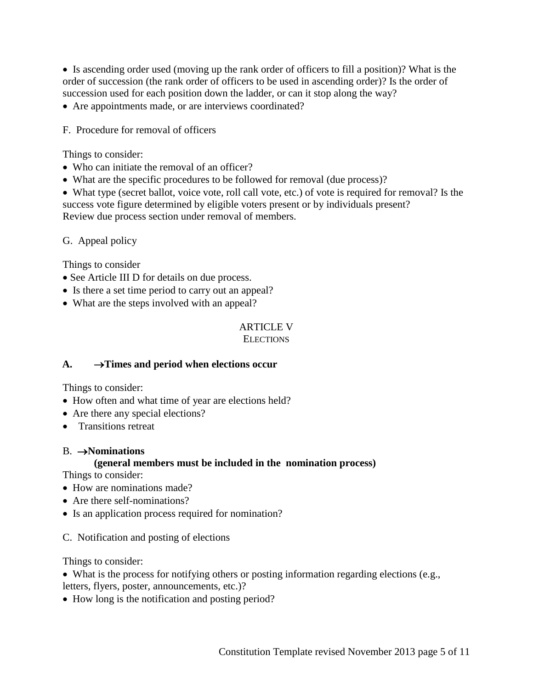Is ascending order used (moving up the rank order of officers to fill a position)? What is the order of succession (the rank order of officers to be used in ascending order)? Is the order of succession used for each position down the ladder, or can it stop along the way?

Are appointments made, or are interviews coordinated?

F. Procedure for removal of officers

#### Things to consider:

- Who can initiate the removal of an officer?
- What are the specific procedures to be followed for removal (due process)?

 What type (secret ballot, voice vote, roll call vote, etc.) of vote is required for removal? Is the success vote figure determined by eligible voters present or by individuals present? Review due process section under removal of members.

#### G. Appeal policy

Things to consider

- See Article III D for details on due process.
- Is there a set time period to carry out an appeal?
- What are the steps involved with an appeal?

# ARTICLE V

# **ELECTIONS**

# $A. \rightarrow$  Times and period when elections occur

Things to consider:

- How often and what time of year are elections held?
- Are there any special elections?
- Transitions retreat

#### B. **Nominations**

# **(general members must be included in the nomination process)**

Things to consider:

- How are nominations made?
- Are there self-nominations?
- Is an application process required for nomination?
- C. Notification and posting of elections

Things to consider:

What is the process for notifying others or posting information regarding elections (e.g.,

- letters, flyers, poster, announcements, etc.)?
- How long is the notification and posting period?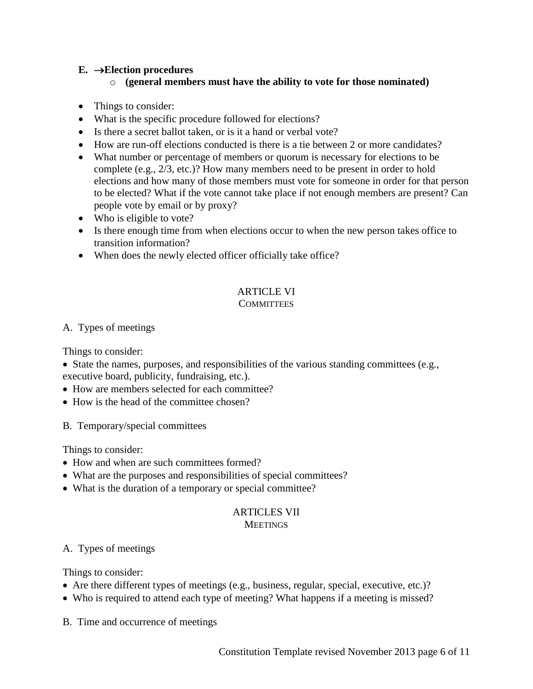# $E. \rightarrow$ **Election procedures**

## o **(general members must have the ability to vote for those nominated)**

- Things to consider:
- What is the specific procedure followed for elections?
- Is there a secret ballot taken, or is it a hand or verbal vote?
- How are run-off elections conducted is there is a tie between 2 or more candidates?
- What number or percentage of members or quorum is necessary for elections to be complete (e.g., 2/3, etc.)? How many members need to be present in order to hold elections and how many of those members must vote for someone in order for that person to be elected? What if the vote cannot take place if not enough members are present? Can people vote by email or by proxy?
- Who is eligible to vote?
- Is there enough time from when elections occur to when the new person takes office to transition information?
- When does the newly elected officer officially take office?

#### ARTICLE VI **COMMITTEES**

#### A. Types of meetings

Things to consider:

- $\bullet$  State the names, purposes, and responsibilities of the various standing committees (e.g., executive board, publicity, fundraising, etc.).
- How are members selected for each committee?
- How is the head of the committee chosen?
- B. Temporary/special committees

Things to consider:

- How and when are such committees formed?
- What are the purposes and responsibilities of special committees?
- What is the duration of a temporary or special committee?

#### ARTICLES VII **MEETINGS**

# A. Types of meetings

Things to consider:

- Are there different types of meetings (e.g., business, regular, special, executive, etc.)?
- Who is required to attend each type of meeting? What happens if a meeting is missed?

B. Time and occurrence of meetings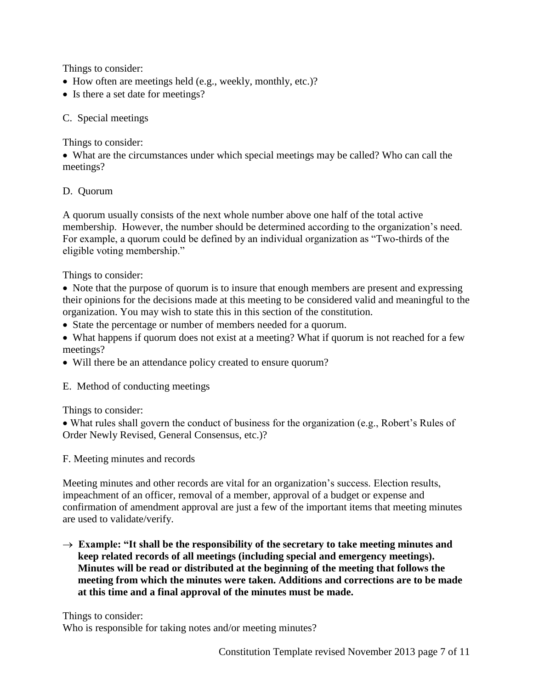Things to consider:

- How often are meetings held (e.g., weekly, monthly, etc.)?
- Is there a set date for meetings?

# C. Special meetings

Things to consider:

 What are the circumstances under which special meetings may be called? Who can call the meetings?

# D. Quorum

A quorum usually consists of the next whole number above one half of the total active membership. However, the number should be determined according to the organization's need. For example, a quorum could be defined by an individual organization as "Two-thirds of the eligible voting membership."

Things to consider:

- Note that the purpose of quorum is to insure that enough members are present and expressing their opinions for the decisions made at this meeting to be considered valid and meaningful to the organization. You may wish to state this in this section of the constitution.
- State the percentage or number of members needed for a quorum.
- What happens if quorum does not exist at a meeting? What if quorum is not reached for a few meetings?
- Will there be an attendance policy created to ensure quorum?

E. Method of conducting meetings

Things to consider:

 What rules shall govern the conduct of business for the organization (e.g., Robert's Rules of Order Newly Revised, General Consensus, etc.)?

F. Meeting minutes and records

Meeting minutes and other records are vital for an organization's success. Election results, impeachment of an officer, removal of a member, approval of a budget or expense and confirmation of amendment approval are just a few of the important items that meeting minutes are used to validate/verify.

 $\rightarrow$  Example: "It shall be the responsibility of the secretary to take meeting minutes and **keep related records of all meetings (including special and emergency meetings). Minutes will be read or distributed at the beginning of the meeting that follows the meeting from which the minutes were taken. Additions and corrections are to be made at this time and a final approval of the minutes must be made.**

Things to consider:

Who is responsible for taking notes and/or meeting minutes?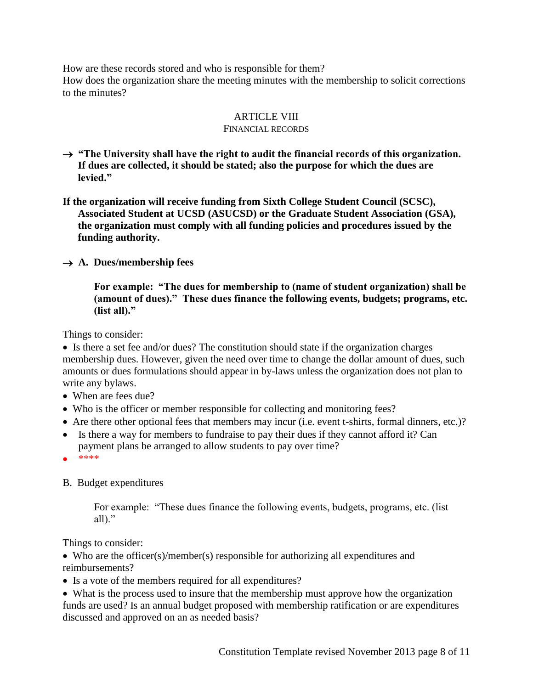How are these records stored and who is responsible for them?

How does the organization share the meeting minutes with the membership to solicit corrections to the minutes?

# ARTICLE VIII

#### FINANCIAL RECORDS

- $\rightarrow$  "The University shall have the right to audit the financial records of this organization. **If dues are collected, it should be stated; also the purpose for which the dues are levied."**
- **If the organization will receive funding from Sixth College Student Council (SCSC), Associated Student at UCSD (ASUCSD) or the Graduate Student Association (GSA), the organization must comply with all funding policies and procedures issued by the funding authority.**

# $\rightarrow$  A. Dues/membership fees

**For example: "The dues for membership to (name of student organization) shall be (amount of dues)." These dues finance the following events, budgets; programs, etc. (list all)."**

Things to consider:

 Is there a set fee and/or dues? The constitution should state if the organization charges membership dues. However, given the need over time to change the dollar amount of dues, such amounts or dues formulations should appear in by-laws unless the organization does not plan to write any bylaws.

- When are fees due?
- Who is the officer or member responsible for collecting and monitoring fees?
- Are there other optional fees that members may incur (i.e. event t-shirts, formal dinners, etc.)?
- Is there a way for members to fundraise to pay their dues if they cannot afford it? Can payment plans be arranged to allow students to pay over time?
- \*\*\*\*

B. Budget expenditures

For example: "These dues finance the following events, budgets, programs, etc. (list all)."

Things to consider:

• Who are the officer(s)/member(s) responsible for authorizing all expenditures and reimbursements?

• Is a vote of the members required for all expenditures?

 What is the process used to insure that the membership must approve how the organization funds are used? Is an annual budget proposed with membership ratification or are expenditures discussed and approved on an as needed basis?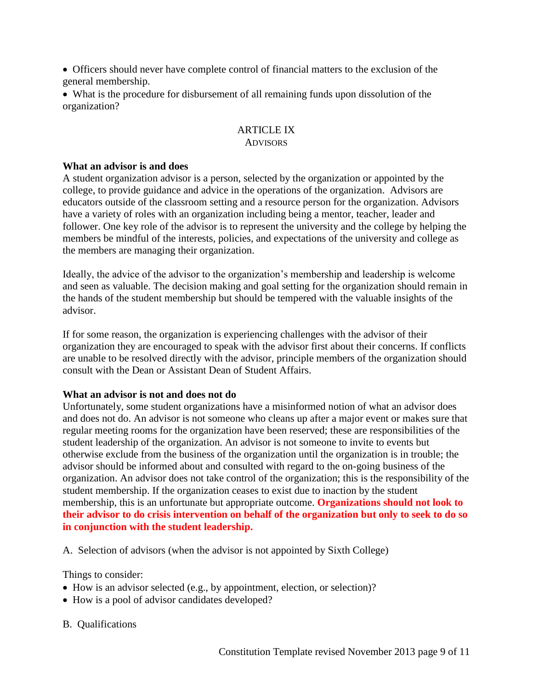Officers should never have complete control of financial matters to the exclusion of the general membership.

 What is the procedure for disbursement of all remaining funds upon dissolution of the organization?

#### ARTICLE IX **ADVISORS**

#### **What an advisor is and does**

A student organization advisor is a person, selected by the organization or appointed by the college, to provide guidance and advice in the operations of the organization. Advisors are educators outside of the classroom setting and a resource person for the organization. Advisors have a variety of roles with an organization including being a mentor, teacher, leader and follower. One key role of the advisor is to represent the university and the college by helping the members be mindful of the interests, policies, and expectations of the university and college as the members are managing their organization.

Ideally, the advice of the advisor to the organization's membership and leadership is welcome and seen as valuable. The decision making and goal setting for the organization should remain in the hands of the student membership but should be tempered with the valuable insights of the advisor.

If for some reason, the organization is experiencing challenges with the advisor of their organization they are encouraged to speak with the advisor first about their concerns. If conflicts are unable to be resolved directly with the advisor, principle members of the organization should consult with the Dean or Assistant Dean of Student Affairs.

#### **What an advisor is not and does not do**

Unfortunately, some student organizations have a misinformed notion of what an advisor does and does not do. An advisor is not someone who cleans up after a major event or makes sure that regular meeting rooms for the organization have been reserved; these are responsibilities of the student leadership of the organization. An advisor is not someone to invite to events but otherwise exclude from the business of the organization until the organization is in trouble; the advisor should be informed about and consulted with regard to the on-going business of the organization. An advisor does not take control of the organization; this is the responsibility of the student membership. If the organization ceases to exist due to inaction by the student membership, this is an unfortunate but appropriate outcome. **Organizations should not look to their advisor to do crisis intervention on behalf of the organization but only to seek to do so in conjunction with the student leadership.**

A. Selection of advisors (when the advisor is not appointed by Sixth College)

Things to consider:

- How is an advisor selected (e.g., by appointment, election, or selection)?
- How is a pool of advisor candidates developed?

B. Qualifications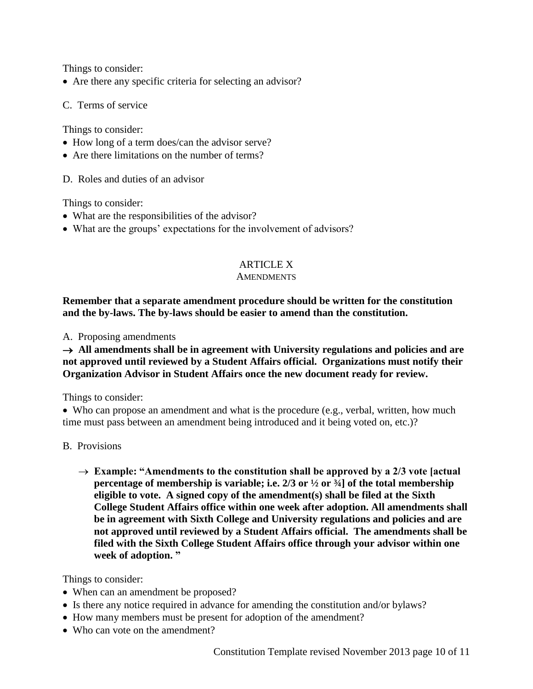Things to consider:

Are there any specific criteria for selecting an advisor?

C. Terms of service

Things to consider:

- How long of a term does/can the advisor serve?
- Are there limitations on the number of terms?

D. Roles and duties of an advisor

Things to consider:

- What are the responsibilities of the advisor?
- What are the groups' expectations for the involvement of advisors?

# ARTICLE X

#### **AMENDMENTS**

## **Remember that a separate amendment procedure should be written for the constitution and the by-laws. The by-laws should be easier to amend than the constitution.**

A. Proposing amendments

### $\rightarrow$  All amendments shall be in agreement with University regulations and policies and are **not approved until reviewed by a Student Affairs official. Organizations must notify their Organization Advisor in Student Affairs once the new document ready for review.**

Things to consider:

• Who can propose an amendment and what is the procedure (e.g., verbal, written, how much time must pass between an amendment being introduced and it being voted on, etc.)?

#### B. Provisions

→ Example: "Amendments to the constitution shall be approved by a 2/3 vote [actual **percentage of membership is variable; i.e. 2/3 or ½ or ¾] of the total membership eligible to vote. A signed copy of the amendment(s) shall be filed at the Sixth College Student Affairs office within one week after adoption. All amendments shall be in agreement with Sixth College and University regulations and policies and are not approved until reviewed by a Student Affairs official. The amendments shall be filed with the Sixth College Student Affairs office through your advisor within one week of adoption. "** 

Things to consider:

- When can an amendment be proposed?
- Is there any notice required in advance for amending the constitution and/or bylaws?
- How many members must be present for adoption of the amendment?
- Who can vote on the amendment?